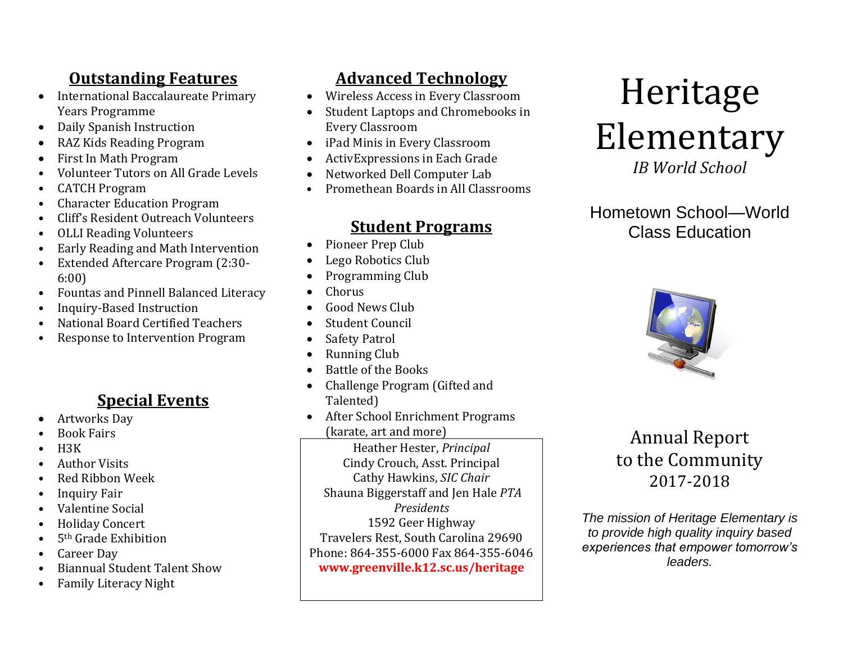# **Outstanding Features**

- International Baccalaureate Primary Years Programme
- Daily Spanish Instruction
- RAZ Kids Reading Program
- First In Math Program
- Volunteer Tutors on All Grade Levels
- CATCH Program
- Character Education Program
- Cliff's Resident Outreach Volunteers
- OLLI Reading Volunteers
- Early Reading and Math Intervention
- Extended Aftercare Program (2:30- 6:00)
- Fountas and Pinnell Balanced Literacy
- Inquiry-Based Instruction
- National Board Certified Teachers
- Response to Intervention Program

## **Special Events**

- Artworks Day
- Book Fairs
- $H3K$
- Author Visits
- Red Ribbon Week
- Inquiry Fair
- Valentine Social
- Holiday Concert
- 5<sup>th</sup> Grade Exhibition
- Career Day
- Biannual Student Talent Show
- Family Literacy Night

# **Advanced Technology**

- Wireless Access in Every Classroom
- Student Laptops and Chromebooks in Every Classroom
- iPad Minis in Every Classroom
- ActivExpressions in Each Grade
- Networked Dell Computer Lab
- Promethean Boards in All Classrooms

# **Student Programs**

- Pioneer Prep Club
- Lego Robotics Club
- Programming Club
- Chorus
- Good News Club
- Student Council
- Safety Patrol
- Running Club
- Battle of the Books
- Challenge Program (Gifted and Talented)
- After School Enrichment Programs (karate, art and more)

Heather Hester, *Principal* Cindy Crouch, Asst. Principal Cathy Hawkins, *SIC Chair* Shauna Biggerstaff and Jen Hale *PTA Presidents* 1592 Geer Highway Travelers Rest, South Carolina 29690 Phone: 864-355-6000 Fax 864-355-6046 **www.greenville.k12.sc.us/heritage**

# Heritage Elementary

*IB World School*

## Hometown School—World Class Education



# Annual Report to the Community 2017-2018

*The mission of Heritage Elementary is to provide high quality inquiry based experiences that empower tomorrow's leaders.*